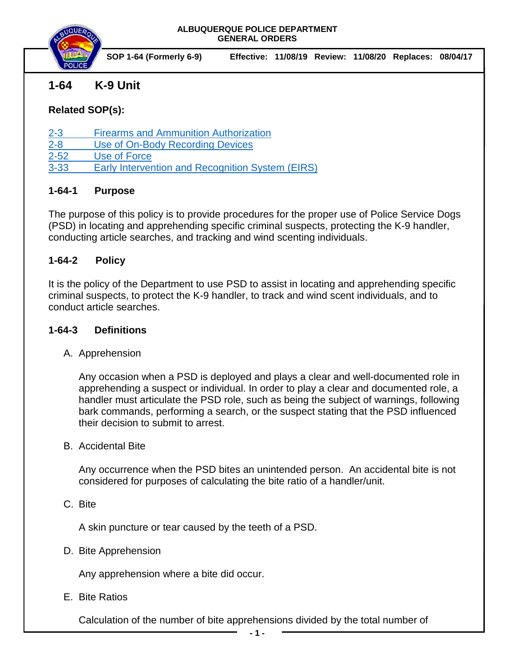

# **1-64 K-9 Unit**

### **Related SOP(s):**

[2-3 Firearms and Ammunition Authorization](https://powerdms.com/link/IDS/document/?id=105)

[2-8 Use of On-Body Recording Devices](https://powerdms.com/link/IDS/document/?id=1137)

[2-52 Use of Force](https://powerdms.com/link/IDS/document/?id=135)

[3-33 Early Intervention and Recognition System \(EIRS\)](https://powerdms.com/link/IDS/document/?id=190)

## **1-64-1 Purpose**

The purpose of this policy is to provide procedures for the proper use of Police Service Dogs (PSD) in locating and apprehending specific criminal suspects, protecting the K-9 handler, conducting article searches, and tracking and wind scenting individuals.

### **1-64-2 Policy**

It is the policy of the Department to use PSD to assist in locating and apprehending specific criminal suspects, to protect the K-9 handler, to track and wind scent individuals, and to conduct article searches.

## **1-64-3 Definitions**

A. Apprehension

Any occasion when a PSD is deployed and plays a clear and well-documented role in apprehending a suspect or individual. In order to play a clear and documented role, a handler must articulate the PSD role, such as being the subject of warnings, following bark commands, performing a search, or the suspect stating that the PSD influenced their decision to submit to arrest.

B. Accidental Bite

Any occurrence when the PSD bites an unintended person. An accidental bite is not considered for purposes of calculating the bite ratio of a handler/unit.

C. Bite

A skin puncture or tear caused by the teeth of a PSD.

D. Bite Apprehension

Any apprehension where a bite did occur.

E. Bite Ratios

Calculation of the number of bite apprehensions divided by the total number of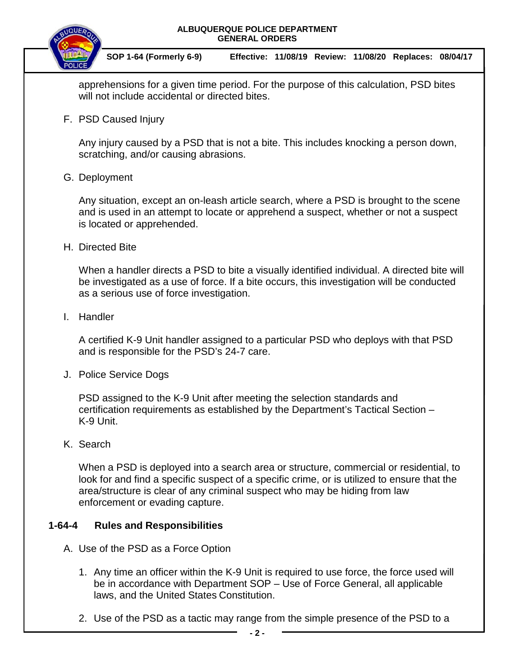



 **SOP 1-64 (Formerly 6-9) Effective: 11/08/19 Review: 11/08/20 Replaces: 08/04/17**

apprehensions for a given time period. For the purpose of this calculation, PSD bites will not include accidental or directed bites.

F. PSD Caused Injury

Any injury caused by a PSD that is not a bite. This includes knocking a person down, scratching, and/or causing abrasions.

### G. Deployment

Any situation, except an on-leash article search, where a PSD is brought to the scene and is used in an attempt to locate or apprehend a suspect, whether or not a suspect is located or apprehended.

H. Directed Bite

When a handler directs a PSD to bite a visually identified individual. A directed bite will be investigated as a use of force. If a bite occurs, this investigation will be conducted as a serious use of force investigation.

I. Handler

A certified K-9 Unit handler assigned to a particular PSD who deploys with that PSD and is responsible for the PSD's 24-7 care.

J. Police Service Dogs

PSD assigned to the K-9 Unit after meeting the selection standards and certification requirements as established by the Department's Tactical Section – K-9 Unit.

K. Search

When a PSD is deployed into a search area or structure, commercial or residential, to look for and find a specific suspect of a specific crime, or is utilized to ensure that the area/structure is clear of any criminal suspect who may be hiding from law enforcement or evading capture.

### **1-64-4 Rules and Responsibilities**

- A. Use of the PSD as a Force Option
	- 1. Any time an officer within the K-9 Unit is required to use force, the force used will be in accordance with Department SOP – Use of Force General, all applicable laws, and the United States Constitution.
	- 2. Use of the PSD as a tactic may range from the simple presence of the PSD to a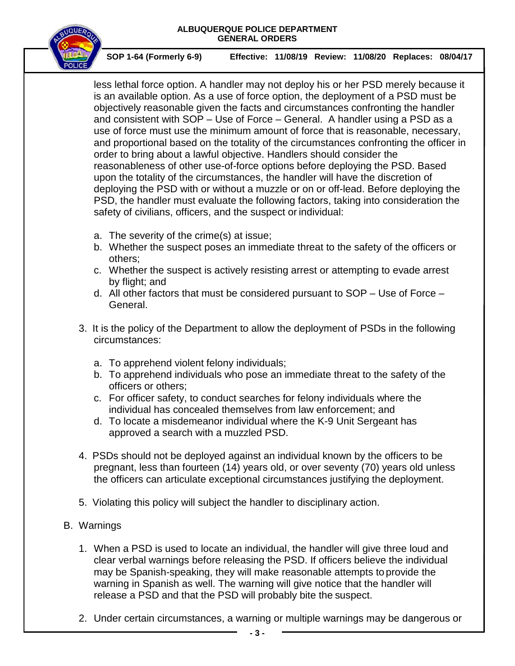

 **SOP 1-64 (Formerly 6-9) Effective: 11/08/19 Review: 11/08/20 Replaces: 08/04/17**

less lethal force option. A handler may not deploy his or her PSD merely because it is an available option. As a use of force option, the deployment of a PSD must be objectively reasonable given the facts and circumstances confronting the handler and consistent with SOP – Use of Force – General. A handler using a PSD as a use of force must use the minimum amount of force that is reasonable, necessary, and proportional based on the totality of the circumstances confronting the officer in order to bring about a lawful objective. Handlers should consider the reasonableness of other use-of-force options before deploying the PSD. Based upon the totality of the circumstances, the handler will have the discretion of deploying the PSD with or without a muzzle or on or off-lead. Before deploying the PSD, the handler must evaluate the following factors, taking into consideration the safety of civilians, officers, and the suspect or individual:

- a. The severity of the crime(s) at issue;
- b. Whether the suspect poses an immediate threat to the safety of the officers or others;
- c. Whether the suspect is actively resisting arrest or attempting to evade arrest by flight; and
- d. All other factors that must be considered pursuant to SOP Use of Force General.
- 3. It is the policy of the Department to allow the deployment of PSDs in the following circumstances:
	- a. To apprehend violent felony individuals;
	- b. To apprehend individuals who pose an immediate threat to the safety of the officers or others;
	- c. For officer safety, to conduct searches for felony individuals where the individual has concealed themselves from law enforcement; and
	- d. To locate a misdemeanor individual where the K-9 Unit Sergeant has approved a search with a muzzled PSD.
- 4. PSDs should not be deployed against an individual known by the officers to be pregnant, less than fourteen (14) years old, or over seventy (70) years old unless the officers can articulate exceptional circumstances justifying the deployment.
- 5. Violating this policy will subject the handler to disciplinary action.
- B. Warnings
	- 1. When a PSD is used to locate an individual, the handler will give three loud and clear verbal warnings before releasing the PSD. If officers believe the individual may be Spanish-speaking, they will make reasonable attempts to provide the warning in Spanish as well. The warning will give notice that the handler will release a PSD and that the PSD will probably bite the suspect.
	- 2. Under certain circumstances, a warning or multiple warnings may be dangerous or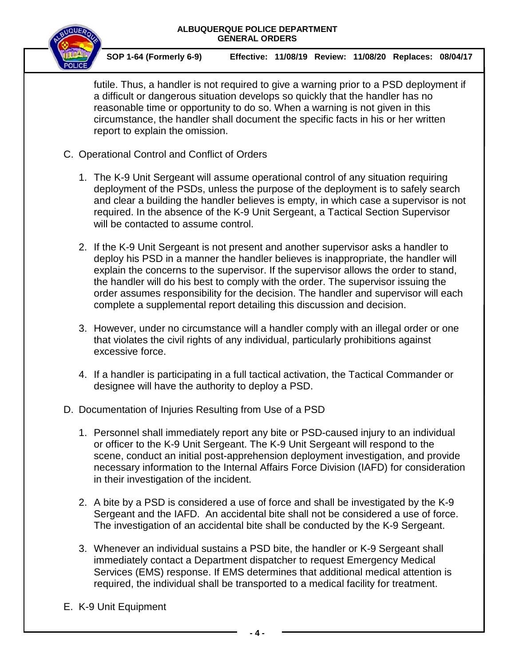

 **SOP 1-64 (Formerly 6-9) Effective: 11/08/19 Review: 11/08/20 Replaces: 08/04/17**

futile. Thus, a handler is not required to give a warning prior to a PSD deployment if a difficult or dangerous situation develops so quickly that the handler has no reasonable time or opportunity to do so. When a warning is not given in this circumstance, the handler shall document the specific facts in his or her written report to explain the omission.

- C. Operational Control and Conflict of Orders
	- 1. The K-9 Unit Sergeant will assume operational control of any situation requiring deployment of the PSDs, unless the purpose of the deployment is to safely search and clear a building the handler believes is empty, in which case a supervisor is not required. In the absence of the K-9 Unit Sergeant, a Tactical Section Supervisor will be contacted to assume control.
	- 2. If the K-9 Unit Sergeant is not present and another supervisor asks a handler to deploy his PSD in a manner the handler believes is inappropriate, the handler will explain the concerns to the supervisor. If the supervisor allows the order to stand, the handler will do his best to comply with the order. The supervisor issuing the order assumes responsibility for the decision. The handler and supervisor will each complete a supplemental report detailing this discussion and decision.
	- 3. However, under no circumstance will a handler comply with an illegal order or one that violates the civil rights of any individual, particularly prohibitions against excessive force.
	- 4. If a handler is participating in a full tactical activation, the Tactical Commander or designee will have the authority to deploy a PSD.
- D. Documentation of Injuries Resulting from Use of a PSD
	- 1. Personnel shall immediately report any bite or PSD-caused injury to an individual or officer to the K-9 Unit Sergeant. The K-9 Unit Sergeant will respond to the scene, conduct an initial post-apprehension deployment investigation, and provide necessary information to the Internal Affairs Force Division (IAFD) for consideration in their investigation of the incident.
	- 2. A bite by a PSD is considered a use of force and shall be investigated by the K-9 Sergeant and the IAFD. An accidental bite shall not be considered a use of force. The investigation of an accidental bite shall be conducted by the K-9 Sergeant.
	- 3. Whenever an individual sustains a PSD bite, the handler or K-9 Sergeant shall immediately contact a Department dispatcher to request Emergency Medical Services (EMS) response. If EMS determines that additional medical attention is required, the individual shall be transported to a medical facility for treatment.
- E. K-9 Unit Equipment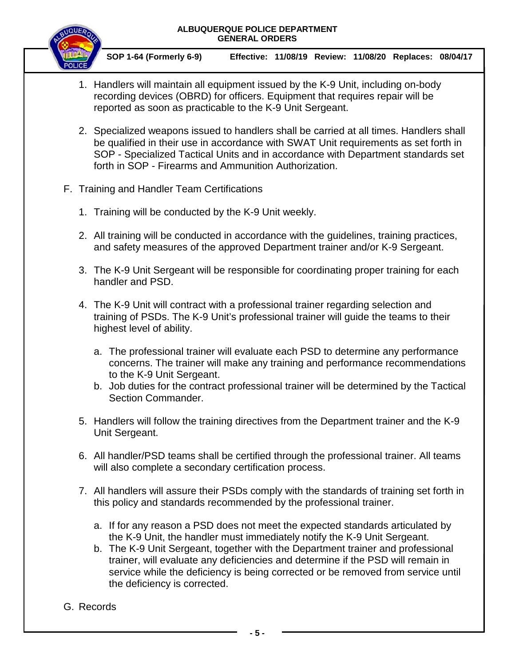

 **SOP 1-64 (Formerly 6-9) Effective: 11/08/19 Review: 11/08/20 Replaces: 08/04/17**

- 1. Handlers will maintain all equipment issued by the K-9 Unit, including on-body recording devices (OBRD) for officers. Equipment that requires repair will be reported as soon as practicable to the K-9 Unit Sergeant.
- 2. Specialized weapons issued to handlers shall be carried at all times. Handlers shall be qualified in their use in accordance with SWAT Unit requirements as set forth in SOP - Specialized Tactical Units and in accordance with Department standards set forth in SOP - Firearms and Ammunition Authorization.
- F. Training and Handler Team Certifications
	- 1. Training will be conducted by the K-9 Unit weekly.
	- 2. All training will be conducted in accordance with the guidelines, training practices, and safety measures of the approved Department trainer and/or K-9 Sergeant.
	- 3. The K-9 Unit Sergeant will be responsible for coordinating proper training for each handler and PSD.
	- 4. The K-9 Unit will contract with a professional trainer regarding selection and training of PSDs. The K-9 Unit's professional trainer will guide the teams to their highest level of ability.
		- a. The professional trainer will evaluate each PSD to determine any performance concerns. The trainer will make any training and performance recommendations to the K-9 Unit Sergeant.
		- b. Job duties for the contract professional trainer will be determined by the Tactical Section Commander.
	- 5. Handlers will follow the training directives from the Department trainer and the K-9 Unit Sergeant.
	- 6. All handler/PSD teams shall be certified through the professional trainer. All teams will also complete a secondary certification process.
	- 7. All handlers will assure their PSDs comply with the standards of training set forth in this policy and standards recommended by the professional trainer.
		- a. If for any reason a PSD does not meet the expected standards articulated by the K-9 Unit, the handler must immediately notify the K-9 Unit Sergeant.
		- b. The K-9 Unit Sergeant, together with the Department trainer and professional trainer, will evaluate any deficiencies and determine if the PSD will remain in service while the deficiency is being corrected or be removed from service until the deficiency is corrected.
- G. Records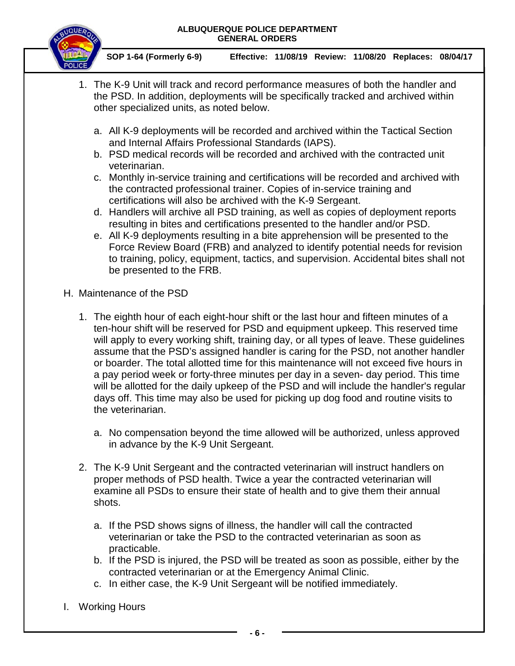

 **SOP 1-64 (Formerly 6-9) Effective: 11/08/19 Review: 11/08/20 Replaces: 08/04/17**

- 1. The K-9 Unit will track and record performance measures of both the handler and the PSD. In addition, deployments will be specifically tracked and archived within other specialized units, as noted below.
	- a. All K-9 deployments will be recorded and archived within the Tactical Section and Internal Affairs Professional Standards (IAPS).
	- b. PSD medical records will be recorded and archived with the contracted unit veterinarian.
	- c. Monthly in-service training and certifications will be recorded and archived with the contracted professional trainer. Copies of in-service training and certifications will also be archived with the K-9 Sergeant.
	- d. Handlers will archive all PSD training, as well as copies of deployment reports resulting in bites and certifications presented to the handler and/or PSD.
	- e. All K-9 deployments resulting in a bite apprehension will be presented to the Force Review Board (FRB) and analyzed to identify potential needs for revision to training, policy, equipment, tactics, and supervision. Accidental bites shall not be presented to the FRB.
- H. Maintenance of the PSD
	- 1. The eighth hour of each eight-hour shift or the last hour and fifteen minutes of a ten-hour shift will be reserved for PSD and equipment upkeep. This reserved time will apply to every working shift, training day, or all types of leave. These guidelines assume that the PSD's assigned handler is caring for the PSD, not another handler or boarder. The total allotted time for this maintenance will not exceed five hours in a pay period week or forty-three minutes per day in a seven- day period. This time will be allotted for the daily upkeep of the PSD and will include the handler's regular days off. This time may also be used for picking up dog food and routine visits to the veterinarian.
		- a. No compensation beyond the time allowed will be authorized, unless approved in advance by the K-9 Unit Sergeant.
	- 2. The K-9 Unit Sergeant and the contracted veterinarian will instruct handlers on proper methods of PSD health. Twice a year the contracted veterinarian will examine all PSDs to ensure their state of health and to give them their annual shots.
		- a. If the PSD shows signs of illness, the handler will call the contracted veterinarian or take the PSD to the contracted veterinarian as soon as practicable.
		- b. If the PSD is injured, the PSD will be treated as soon as possible, either by the contracted veterinarian or at the Emergency Animal Clinic.
		- c. In either case, the K-9 Unit Sergeant will be notified immediately.
- I. Working Hours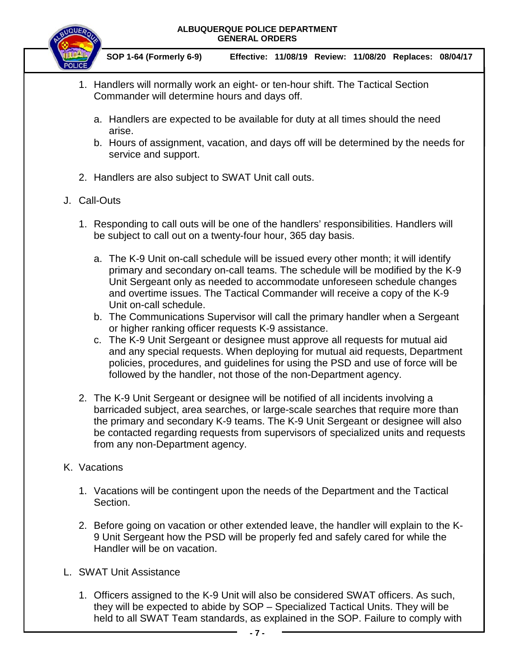

 **SOP 1-64 (Formerly 6-9) Effective: 11/08/19 Review: 11/08/20 Replaces: 08/04/17**

- 1. Handlers will normally work an eight- or ten-hour shift. The Tactical Section Commander will determine hours and days off.
	- a. Handlers are expected to be available for duty at all times should the need arise.
	- b. Hours of assignment, vacation, and days off will be determined by the needs for service and support.
- 2. Handlers are also subject to SWAT Unit call outs.

## J. Call-Outs

- 1. Responding to call outs will be one of the handlers' responsibilities. Handlers will be subject to call out on a twenty-four hour, 365 day basis.
	- a. The K-9 Unit on-call schedule will be issued every other month; it will identify primary and secondary on-call teams. The schedule will be modified by the K-9 Unit Sergeant only as needed to accommodate unforeseen schedule changes and overtime issues. The Tactical Commander will receive a copy of the K-9 Unit on-call schedule.
	- b. The Communications Supervisor will call the primary handler when a Sergeant or higher ranking officer requests K-9 assistance.
	- c. The K-9 Unit Sergeant or designee must approve all requests for mutual aid and any special requests. When deploying for mutual aid requests, Department policies, procedures, and guidelines for using the PSD and use of force will be followed by the handler, not those of the non-Department agency.
- 2. The K-9 Unit Sergeant or designee will be notified of all incidents involving a barricaded subject, area searches, or large-scale searches that require more than the primary and secondary K-9 teams. The K-9 Unit Sergeant or designee will also be contacted regarding requests from supervisors of specialized units and requests from any non-Department agency.

# K. Vacations

- 1. Vacations will be contingent upon the needs of the Department and the Tactical Section.
- 2. Before going on vacation or other extended leave, the handler will explain to the K-9 Unit Sergeant how the PSD will be properly fed and safely cared for while the Handler will be on vacation.
- L. SWAT Unit Assistance
	- 1. Officers assigned to the K-9 Unit will also be considered SWAT officers. As such, they will be expected to abide by SOP – Specialized Tactical Units. They will be held to all SWAT Team standards, as explained in the SOP. Failure to comply with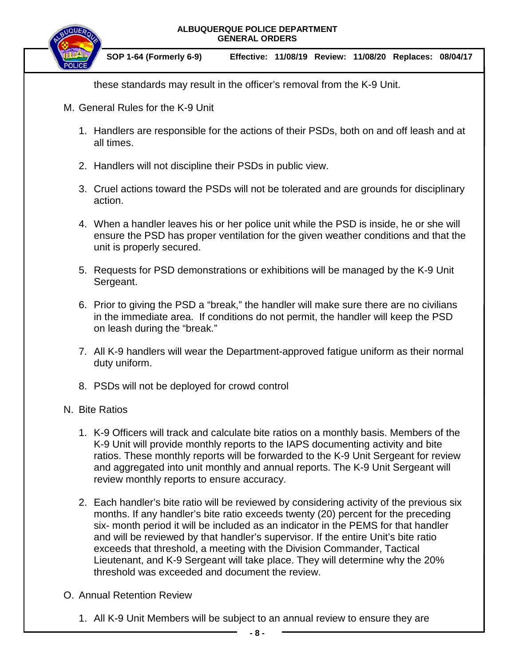

these standards may result in the officer's removal from the K-9 Unit.

- M. General Rules for the K-9 Unit
	- 1. Handlers are responsible for the actions of their PSDs, both on and off leash and at all times.
	- 2. Handlers will not discipline their PSDs in public view.
	- 3. Cruel actions toward the PSDs will not be tolerated and are grounds for disciplinary action.
	- 4. When a handler leaves his or her police unit while the PSD is inside, he or she will ensure the PSD has proper ventilation for the given weather conditions and that the unit is properly secured.
	- 5. Requests for PSD demonstrations or exhibitions will be managed by the K-9 Unit Sergeant.
	- 6. Prior to giving the PSD a "break," the handler will make sure there are no civilians in the immediate area. If conditions do not permit, the handler will keep the PSD on leash during the "break."
	- 7. All K-9 handlers will wear the Department-approved fatigue uniform as their normal duty uniform.
	- 8. PSDs will not be deployed for crowd control

### N. Bite Ratios

- 1. K-9 Officers will track and calculate bite ratios on a monthly basis. Members of the K-9 Unit will provide monthly reports to the IAPS documenting activity and bite ratios. These monthly reports will be forwarded to the K-9 Unit Sergeant for review and aggregated into unit monthly and annual reports. The K-9 Unit Sergeant will review monthly reports to ensure accuracy.
- 2. Each handler's bite ratio will be reviewed by considering activity of the previous six months. If any handler's bite ratio exceeds twenty (20) percent for the preceding six- month period it will be included as an indicator in the PEMS for that handler and will be reviewed by that handler's supervisor. If the entire Unit's bite ratio exceeds that threshold, a meeting with the Division Commander, Tactical Lieutenant, and K-9 Sergeant will take place. They will determine why the 20% threshold was exceeded and document the review.
- O. Annual Retention Review
	- 1. All K-9 Unit Members will be subject to an annual review to ensure they are